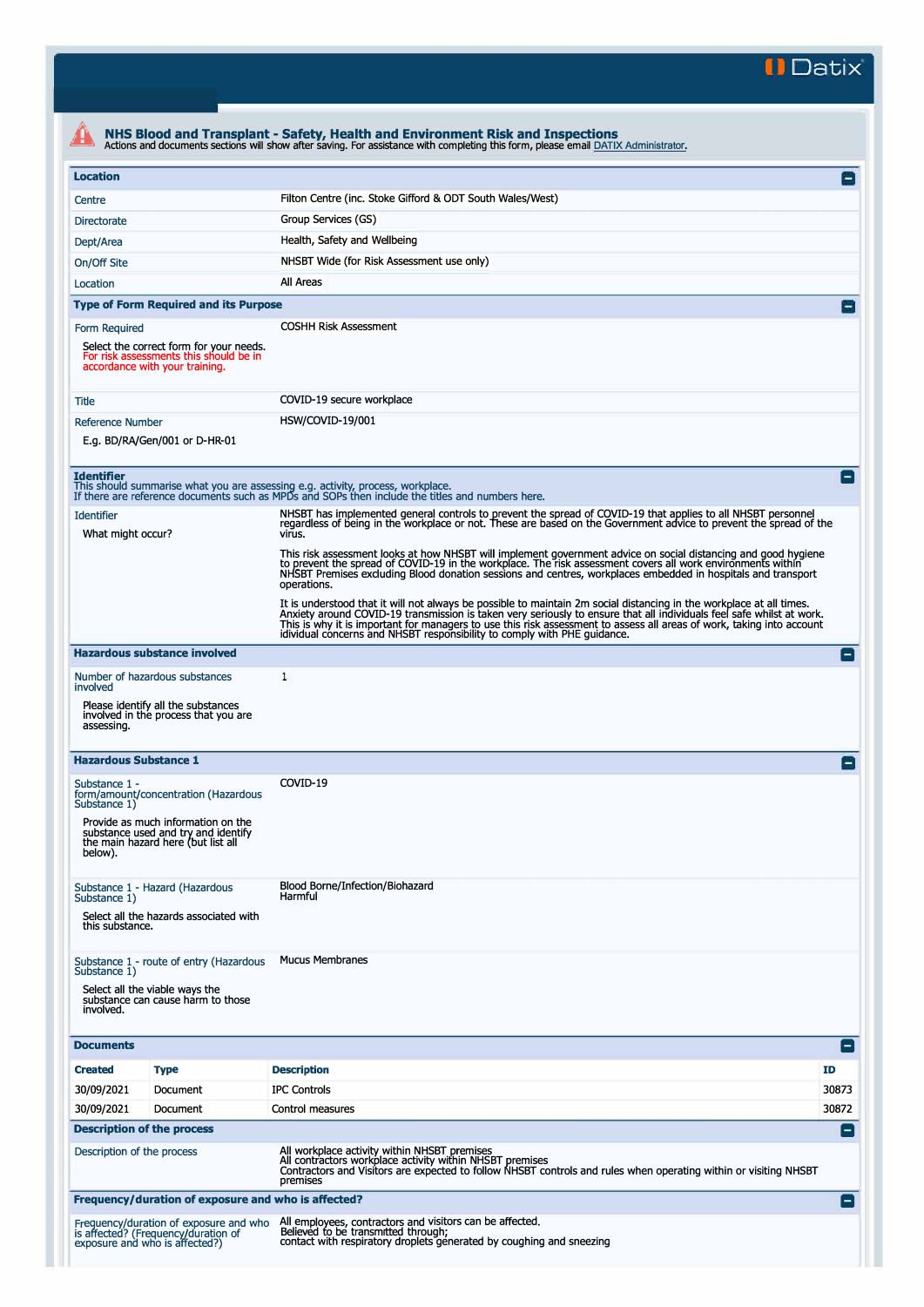**II Datix"** 

|                                        |                                                                                                                     | NHS Blood and Transplant - Safety, Health and Environment Risk and Inspections<br>Actions and documents sections will show after saving. For assistance with completing this form, please email DATIX Administrator.                                                                                                                                                                                                                               |                    |
|----------------------------------------|---------------------------------------------------------------------------------------------------------------------|----------------------------------------------------------------------------------------------------------------------------------------------------------------------------------------------------------------------------------------------------------------------------------------------------------------------------------------------------------------------------------------------------------------------------------------------------|--------------------|
| <b>Location</b>                        |                                                                                                                     |                                                                                                                                                                                                                                                                                                                                                                                                                                                    | $\Box$             |
| Centre                                 |                                                                                                                     | Filton Centre (inc. Stoke Gifford & ODT South Wales/West)                                                                                                                                                                                                                                                                                                                                                                                          |                    |
| <b>Directorate</b>                     |                                                                                                                     | Group Services (GS)                                                                                                                                                                                                                                                                                                                                                                                                                                |                    |
| Dept/Area                              |                                                                                                                     | Health, Safety and Wellbeing                                                                                                                                                                                                                                                                                                                                                                                                                       |                    |
| On/Off Site                            |                                                                                                                     | NHSBT Wide (for Risk Assessment use only)                                                                                                                                                                                                                                                                                                                                                                                                          |                    |
| Location                               |                                                                                                                     | All Areas                                                                                                                                                                                                                                                                                                                                                                                                                                          |                    |
|                                        | <b>Type of Form Required and its Purpose</b>                                                                        |                                                                                                                                                                                                                                                                                                                                                                                                                                                    |                    |
| Form Required                          |                                                                                                                     | <b>COSHH Risk Assessment</b>                                                                                                                                                                                                                                                                                                                                                                                                                       |                    |
|                                        | Select the correct form for your needs.<br>For risk assessments this should be in<br>accordance with your training. |                                                                                                                                                                                                                                                                                                                                                                                                                                                    |                    |
| Title                                  |                                                                                                                     | COVID-19 secure workplace                                                                                                                                                                                                                                                                                                                                                                                                                          |                    |
| <b>Reference Number</b>                |                                                                                                                     | HSW/COVID-19/001                                                                                                                                                                                                                                                                                                                                                                                                                                   |                    |
|                                        | E.g. BD/RA/Gen/001 or D-HR-01                                                                                       |                                                                                                                                                                                                                                                                                                                                                                                                                                                    |                    |
| <b>Identifier</b>                      |                                                                                                                     | This should summarise what you are assessing e.g. activity, process, workplace.<br>If there are reference documents such as MPDs and SOPs then include the titles and numbers here.                                                                                                                                                                                                                                                                | E                  |
| <b>Identifier</b><br>What might occur? |                                                                                                                     | NHSBT has implemented general controls to prevent the spread of COVID-19 that applies to all NHSBT personnel<br>regardless of being in the workplace or not. These are based on the Government advice to prevent the spread of the<br>virus.                                                                                                                                                                                                       |                    |
|                                        |                                                                                                                     | This risk assessment looks at how NHSBT will implement government advice on social distancing and good hygiene<br>to prevent the spread of COVID-19 in the workplace. The risk assessment covers all work environments within<br>NHSBT Premises excluding Blood donation sessions and centres, workplaces embedded in hospitals and transport<br>operations.                                                                                       |                    |
|                                        |                                                                                                                     | It is understood that it will not always be possible to maintain 2m social distancing in the workplace at all times.<br>Anxiety around COVID-19 transmission is taken very seriously to ensure that all individuals feel safe whilst at work.<br>This is why it is important for managers to use this risk assessment to assess all areas of work, taking into account<br>idividual concerns and NHSBT responsibility to comply with PHE guidance. |                    |
|                                        | <b>Hazardous substance involved</b>                                                                                 |                                                                                                                                                                                                                                                                                                                                                                                                                                                    | н.                 |
|                                        | Number of hazardous substances                                                                                      | 1                                                                                                                                                                                                                                                                                                                                                                                                                                                  |                    |
| involved<br>assessing.                 | Please identify all the substances<br>involved in the process that you are                                          |                                                                                                                                                                                                                                                                                                                                                                                                                                                    |                    |
| <b>Hazardous Substance 1</b>           |                                                                                                                     |                                                                                                                                                                                                                                                                                                                                                                                                                                                    |                    |
| Substance 1 -<br>Substance 1)          | form/amount/concentration (Hazardous                                                                                | COVID-19                                                                                                                                                                                                                                                                                                                                                                                                                                           |                    |
| below).                                | Provide as much information on the<br>substance used and try and identify<br>the main hazard here (but list all     |                                                                                                                                                                                                                                                                                                                                                                                                                                                    |                    |
| Substance 1)<br>this substance.        | Substance 1 - Hazard (Hazardous<br>Select all the hazards associated with                                           | Blood Borne/Infection/Biohazard<br>Harmful                                                                                                                                                                                                                                                                                                                                                                                                         |                    |
| Substance 1)                           | Substance 1 - route of entry (Hazardous                                                                             | <b>Mucus Membranes</b>                                                                                                                                                                                                                                                                                                                                                                                                                             |                    |
| involved.                              | Select all the viable ways the<br>substance can cause harm to those                                                 |                                                                                                                                                                                                                                                                                                                                                                                                                                                    |                    |
| <b>Documents</b>                       |                                                                                                                     |                                                                                                                                                                                                                                                                                                                                                                                                                                                    | ٥                  |
| <b>Created</b>                         | <b>Type</b>                                                                                                         | <b>Description</b><br><b>ID</b>                                                                                                                                                                                                                                                                                                                                                                                                                    |                    |
| 30/09/2021                             | Document                                                                                                            | <b>IPC Controls</b>                                                                                                                                                                                                                                                                                                                                                                                                                                | 30873              |
| 30/09/2021                             | Document                                                                                                            | Control measures                                                                                                                                                                                                                                                                                                                                                                                                                                   | 30872              |
|                                        | <b>Description of the process</b>                                                                                   |                                                                                                                                                                                                                                                                                                                                                                                                                                                    | $\blacksquare$     |
| Description of the process             |                                                                                                                     | All workplace activity within NHSBT premises<br>All contractors workplace activity within NHSBT premises<br>Contractors and Visitors are expected to follow NHSBT controls and rules when operating within or visiting NHSBT<br>premises                                                                                                                                                                                                           |                    |
|                                        | Frequency/duration of exposure and who is affected?                                                                 |                                                                                                                                                                                                                                                                                                                                                                                                                                                    | $\left  - \right $ |
|                                        | Frequency/duration of exposure and who<br>is affected? (Frequency/duration of<br>exposure and who is affected?)     | All employees, contractors and visitors can be affected.<br>Believed to be transmitted through;<br>contact with respiratory droplets generated by coughing and sneezing                                                                                                                                                                                                                                                                            |                    |